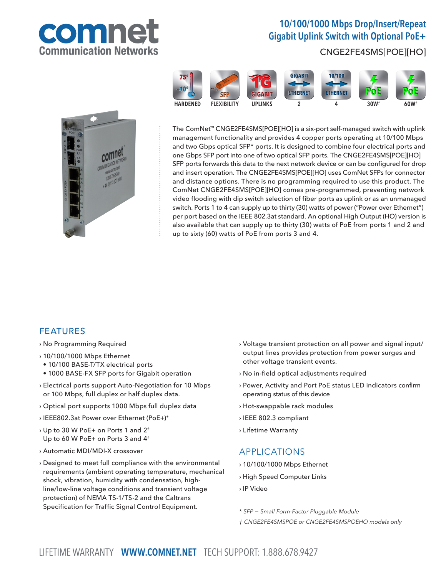

# 10/100/1000 Mbps Drop/Insert/Repeat Gigabit Uplink Switch with Optional PoE+

### CNGE2FE4SMS[POE][HO]



The ComNet™ CNGE2FE4SMS[POE][HO] is a six-port self-managed switch with uplink management functionality and provides 4 copper ports operating at 10/100 Mbps and two Gbps optical SFP\* ports. It is designed to combine four electrical ports and one Gbps SFP port into one of two optical SFP ports. The CNGE2FE4SMS[POE][HO] SFP ports forwards this data to the next network device or can be configured for drop and insert operation. The CNGE2FE4SMS[POE][HO] uses ComNet SFPs for connector and distance options. There is no programming required to use this product. The ComNet CNGE2FE4SMS[POE][HO] comes pre-programmed, preventing network video flooding with dip switch selection of fiber ports as uplink or as an unmanaged switch. Ports 1 to 4 can supply up to thirty (30) watts of power ("Power over Ethernet") per port based on the IEEE 802.3at standard. An optional High Output (HO) version is also available that can supply up to thirty (30) watts of PoE from ports 1 and 2 and up to sixty (60) watts of PoE from ports 3 and 4.

#### FEATURES

- › No Programming Required
- › 10/100/1000 Mbps Ethernet
- 10/100 BASE-T/TX electrical ports
- 1000 BASE-FX SFP ports for Gigabit operation
- › Electrical ports support Auto-Negotiation for 10 Mbps or 100 Mbps, full duplex or half duplex data.
- › Optical port supports 1000 Mbps full duplex data
- › IEEE802.3at Power over Ethernet (PoE+)†
- $\rightarrow$  Up to 30 W PoE+ on Ports 1 and 2<sup>+</sup> Up to 60 W PoE+ on Ports 3 and 4<sup>t</sup>
- › Automatic MDI/MDI-X crossover
- › Designed to meet full compliance with the environmental requirements (ambient operating temperature, mechanical shock, vibration, humidity with condensation, highline/low-line voltage conditions and transient voltage protection) of NEMA TS-1/TS-2 and the Caltrans Specification for Traffic Signal Control Equipment.
- › Voltage transient protection on all power and signal input/ output lines provides protection from power surges and other voltage transient events.
- › No in-field optical adjustments required
- › Power, Activity and Port PoE status LED indicators confirm operating status of this device
- › Hot-swappable rack modules
- › IEEE 802.3 compliant
- › Lifetime Warranty

#### APPLICATIONS

- › 10/100/1000 Mbps Ethernet
- › High Speed Computer Links
- › IP Video
- \* SFP = Small Form-Factor Pluggable Module
- † CNGE2FE4SMSPOE or CNGE2FE4SMSPOEHO models only